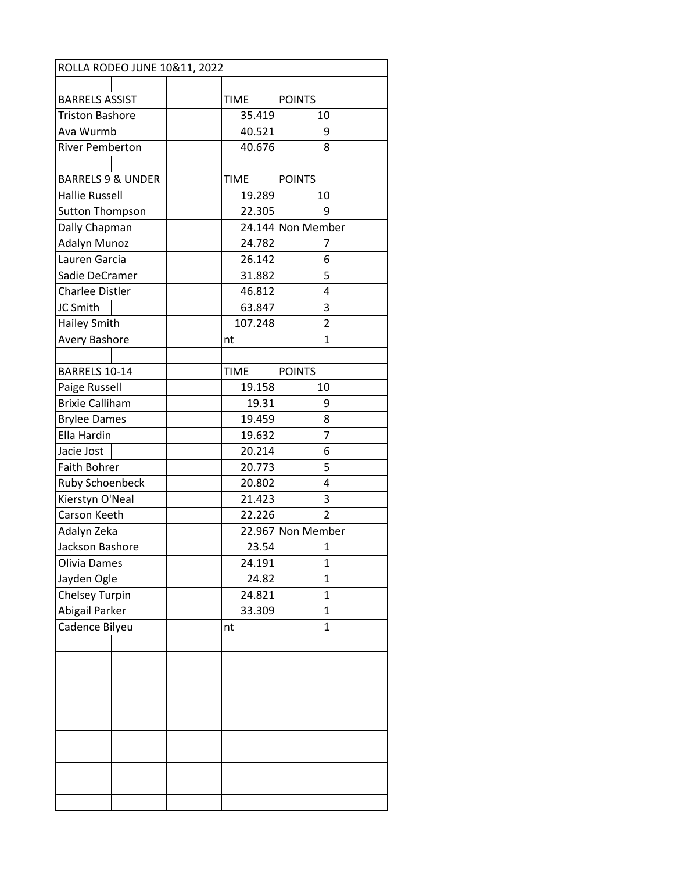| ROLLA RODEO JUNE 10&11, 2022 |  |  |             |                   |  |
|------------------------------|--|--|-------------|-------------------|--|
|                              |  |  |             |                   |  |
| <b>BARRELS ASSIST</b>        |  |  | <b>TIME</b> | <b>POINTS</b>     |  |
| <b>Triston Bashore</b>       |  |  | 35.419      | 10                |  |
| Ava Wurmb                    |  |  | 40.521      | 9                 |  |
| <b>River Pemberton</b>       |  |  | 40.676      | 8                 |  |
|                              |  |  |             |                   |  |
| <b>BARRELS 9 &amp; UNDER</b> |  |  | <b>TIME</b> | <b>POINTS</b>     |  |
| <b>Hallie Russell</b>        |  |  | 19.289      | 10                |  |
| <b>Sutton Thompson</b>       |  |  | 22.305      | 9                 |  |
| Dally Chapman                |  |  |             | 24.144 Non Member |  |
| Adalyn Munoz                 |  |  | 24.782      | 7                 |  |
| Lauren Garcia                |  |  | 26.142      | 6                 |  |
| Sadie DeCramer               |  |  | 31.882      | 5                 |  |
| <b>Charlee Distler</b>       |  |  | 46.812      | 4                 |  |
| JC Smith                     |  |  | 63.847      | 3                 |  |
| <b>Hailey Smith</b>          |  |  | 107.248     | $\overline{2}$    |  |
| <b>Avery Bashore</b>         |  |  | nt          | $\mathbf{1}$      |  |
|                              |  |  |             |                   |  |
| BARRELS 10-14                |  |  | <b>TIME</b> | <b>POINTS</b>     |  |
| Paige Russell                |  |  | 19.158      | 10                |  |
| <b>Brixie Calliham</b>       |  |  | 19.31       | 9                 |  |
| <b>Brylee Dames</b>          |  |  | 19.459      | 8                 |  |
| Ella Hardin                  |  |  | 19.632      | $\overline{7}$    |  |
| Jacie Jost                   |  |  | 20.214      | 6                 |  |
| <b>Faith Bohrer</b>          |  |  | 20.773      | 5                 |  |
| <b>Ruby Schoenbeck</b>       |  |  | 20.802      | 4                 |  |
| Kierstyn O'Neal              |  |  | 21.423      | 3                 |  |
| Carson Keeth                 |  |  | 22.226      | $\overline{2}$    |  |
| Adalyn Zeka                  |  |  |             | 22.967 Non Member |  |
| Jackson Bashore              |  |  | 23.54       | 1                 |  |
| Olivia Dames                 |  |  | 24.191      | 1                 |  |
| Jayden Ogle                  |  |  | 24.82       | 1                 |  |
| <b>Chelsey Turpin</b>        |  |  | 24.821      | 1                 |  |
| Abigail Parker               |  |  | 33.309      | $\mathbf{1}$      |  |
| Cadence Bilyeu               |  |  | nt          | $\mathbf{1}$      |  |
|                              |  |  |             |                   |  |
|                              |  |  |             |                   |  |
|                              |  |  |             |                   |  |
|                              |  |  |             |                   |  |
|                              |  |  |             |                   |  |
|                              |  |  |             |                   |  |
|                              |  |  |             |                   |  |
|                              |  |  |             |                   |  |
|                              |  |  |             |                   |  |
|                              |  |  |             |                   |  |
|                              |  |  |             |                   |  |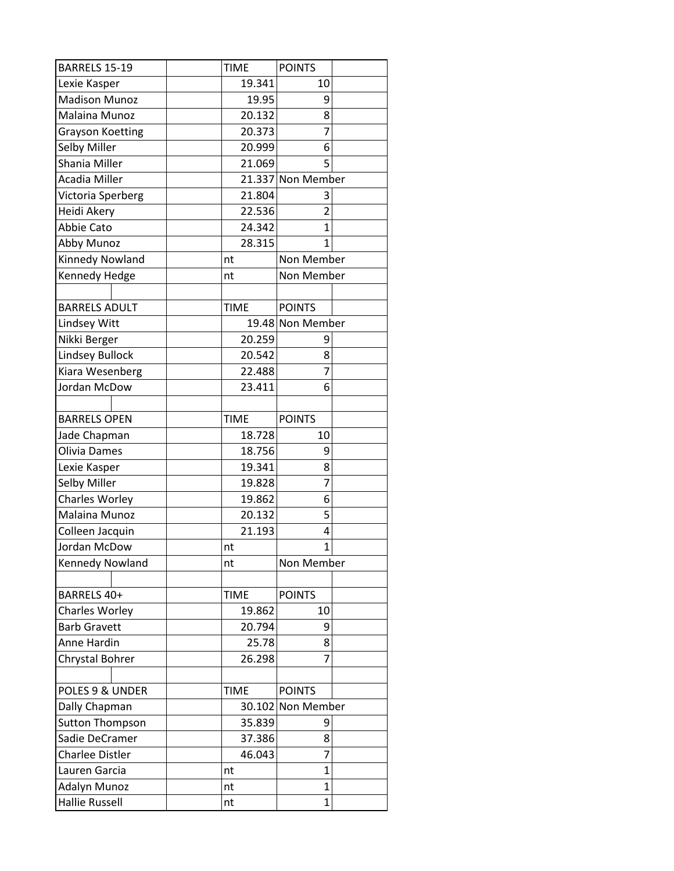| BARRELS 15-19           |    | <b>TIME</b> | <b>POINTS</b>     |  |
|-------------------------|----|-------------|-------------------|--|
| Lexie Kasper            |    | 19.341      | 10                |  |
| <b>Madison Munoz</b>    |    | 19.95       | 9                 |  |
| Malaina Munoz           |    | 20.132      | 8                 |  |
| <b>Grayson Koetting</b> |    | 20.373      | $\overline{7}$    |  |
| Selby Miller            |    | 20.999      | 6                 |  |
| Shania Miller           |    | 21.069      | 5                 |  |
| Acadia Miller           |    |             | 21.337 Non Member |  |
| Victoria Sperberg       |    | 21.804      | 3                 |  |
| Heidi Akery             |    | 22.536      | $\overline{2}$    |  |
| Abbie Cato              |    | 24.342      | 1                 |  |
| Abby Munoz              |    | 28.315      | 1                 |  |
| Kinnedy Nowland         | nt |             | Non Member        |  |
| Kennedy Hedge           | nt |             | Non Member        |  |
|                         |    |             |                   |  |
| <b>BARRELS ADULT</b>    |    | <b>TIME</b> | <b>POINTS</b>     |  |
| Lindsey Witt            |    |             | 19.48 Non Member  |  |
| Nikki Berger            |    | 20.259      | 9                 |  |
| <b>Lindsey Bullock</b>  |    | 20.542      | 8                 |  |
| Kiara Wesenberg         |    | 22.488      | 7                 |  |
| Jordan McDow            |    | 23.411      | 6                 |  |
|                         |    |             |                   |  |
| <b>BARRELS OPEN</b>     |    | <b>TIME</b> | <b>POINTS</b>     |  |
| Jade Chapman            |    | 18.728      | 10                |  |
| Olivia Dames            |    | 18.756      | 9                 |  |
| Lexie Kasper            |    | 19.341      | 8                 |  |
| Selby Miller            |    | 19.828      | $\overline{7}$    |  |
| Charles Worley          |    | 19.862      | 6                 |  |
| Malaina Munoz           |    | 20.132      | 5                 |  |
| Colleen Jacquin         |    | 21.193      | 4                 |  |
| Jordan McDow            | nt |             | $\overline{1}$    |  |
| Kennedy Nowland         | nt |             | Non Member        |  |
|                         |    |             |                   |  |
| BARRELS 40+             |    | <b>TIME</b> | <b>POINTS</b>     |  |
| Charles Worley          |    | 19.862      | 10                |  |
| <b>Barb Gravett</b>     |    | 20.794      | 9                 |  |
| Anne Hardin             |    | 25.78       | 8                 |  |
| Chrystal Bohrer         |    | 26.298      | 7                 |  |
|                         |    |             |                   |  |
| POLES 9 & UNDER         |    | <b>TIME</b> | <b>POINTS</b>     |  |
| Dally Chapman           |    |             | 30.102 Non Member |  |
| <b>Sutton Thompson</b>  |    | 35.839      | 9                 |  |
| Sadie DeCramer          |    | 37.386      | 8                 |  |
| <b>Charlee Distler</b>  |    | 46.043      | 7                 |  |
| Lauren Garcia           | nt |             | 1                 |  |
| Adalyn Munoz            | nt |             | $\overline{1}$    |  |
| <b>Hallie Russell</b>   | nt |             | $\overline{1}$    |  |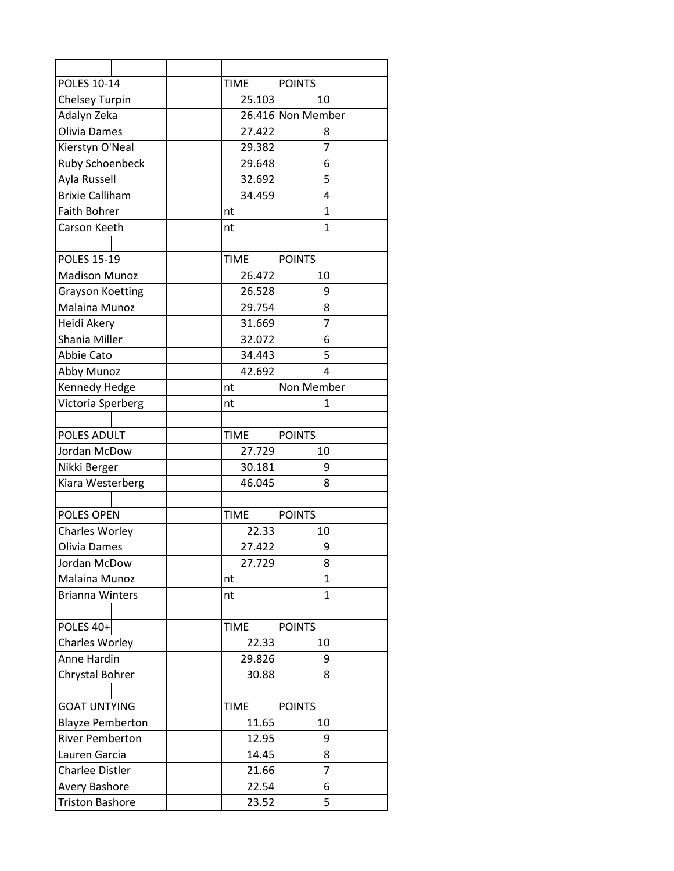| POLES 10-14             |  | <b>TIME</b> | <b>POINTS</b>     |  |
|-------------------------|--|-------------|-------------------|--|
| <b>Chelsey Turpin</b>   |  | 25.103      | 10                |  |
| Adalyn Zeka             |  |             | 26.416 Non Member |  |
| Olivia Dames            |  | 27.422      | 8                 |  |
| Kierstyn O'Neal         |  | 29.382      | 7                 |  |
| <b>Ruby Schoenbeck</b>  |  | 29.648      | 6                 |  |
| Ayla Russell            |  | 32.692      | 5                 |  |
| <b>Brixie Calliham</b>  |  | 34.459      | 4                 |  |
| <b>Faith Bohrer</b>     |  | nt          | 1                 |  |
| Carson Keeth            |  | nt          | 1                 |  |
|                         |  |             |                   |  |
| <b>POLES 15-19</b>      |  | <b>TIME</b> | <b>POINTS</b>     |  |
| <b>Madison Munoz</b>    |  | 26.472      | 10                |  |
| <b>Grayson Koetting</b> |  | 26.528      | 9                 |  |
| Malaina Munoz           |  | 29.754      | 8                 |  |
| Heidi Akery             |  | 31.669      | 7                 |  |
| Shania Miller           |  | 32.072      | 6                 |  |
| Abbie Cato              |  | 34.443      | 5                 |  |
| Abby Munoz              |  | 42.692      | 4                 |  |
| Kennedy Hedge           |  | nt          | Non Member        |  |
| Victoria Sperberg       |  | nt          | $\mathbf{1}$      |  |
|                         |  |             |                   |  |
| POLES ADULT             |  | <b>TIME</b> | <b>POINTS</b>     |  |
| Jordan McDow            |  | 27.729      | 10                |  |
| Nikki Berger            |  | 30.181      | 9                 |  |
| Kiara Westerberg        |  | 46.045      | 8                 |  |
|                         |  |             |                   |  |
| POLES OPEN              |  | <b>TIME</b> | <b>POINTS</b>     |  |
| <b>Charles Worley</b>   |  | 22.33       | 10                |  |
| Olivia Dames            |  | 27.422      | 9                 |  |
| Jordan McDow            |  | 27.729      | 8                 |  |
| Malaina Munoz           |  | nt          | 1                 |  |
| <b>Brianna Winters</b>  |  | nt          | $\mathbf{1}$      |  |
|                         |  |             |                   |  |
| POLES 40+               |  | <b>TIME</b> | <b>POINTS</b>     |  |
| <b>Charles Worley</b>   |  | 22.33       | 10                |  |
| Anne Hardin             |  | 29.826      | 9                 |  |
| Chrystal Bohrer         |  | 30.88       | 8                 |  |
|                         |  |             |                   |  |
| <b>GOAT UNTYING</b>     |  | <b>TIME</b> | <b>POINTS</b>     |  |
| <b>Blayze Pemberton</b> |  | 11.65       | 10                |  |
| <b>River Pemberton</b>  |  | 12.95       | 9                 |  |
| Lauren Garcia           |  | 14.45       | 8                 |  |
| <b>Charlee Distler</b>  |  | 21.66       | 7                 |  |
| Avery Bashore           |  | 22.54       | 6                 |  |
| <b>Triston Bashore</b>  |  | 23.52       | 5                 |  |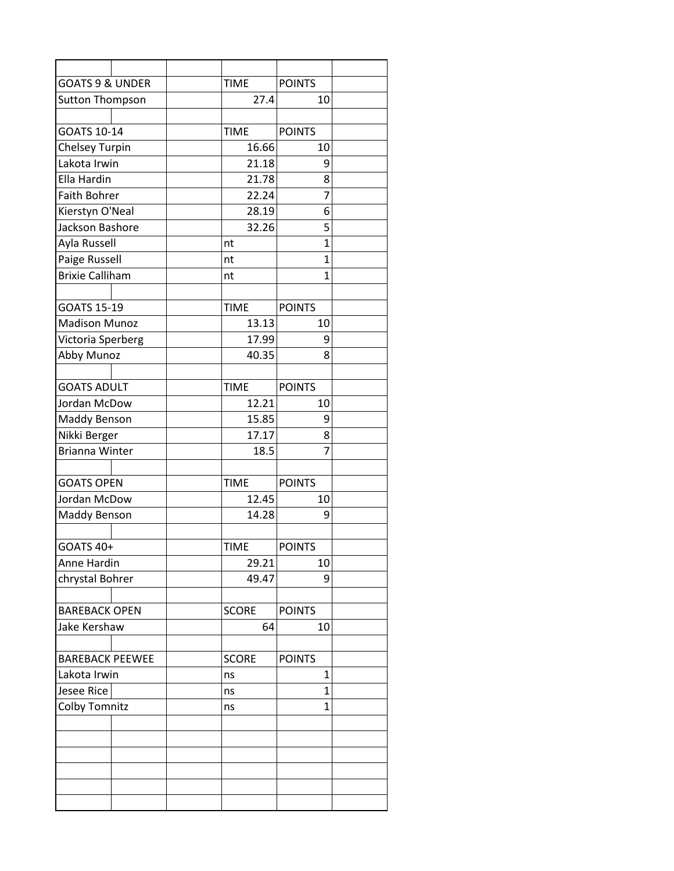| <b>GOATS 9 &amp; UNDER</b> |  | <b>TIME</b>  | <b>POINTS</b>  |  |
|----------------------------|--|--------------|----------------|--|
| Sutton Thompson            |  | 27.4         | 10             |  |
|                            |  |              |                |  |
| <b>GOATS 10-14</b>         |  | <b>TIME</b>  | <b>POINTS</b>  |  |
| <b>Chelsey Turpin</b>      |  | 16.66        | 10             |  |
| Lakota Irwin               |  | 21.18        | 9              |  |
| Ella Hardin                |  | 21.78        | 8              |  |
| <b>Faith Bohrer</b>        |  | 22.24        | 7              |  |
| Kierstyn O'Neal            |  | 28.19        | 6              |  |
| Jackson Bashore            |  | 32.26        | 5              |  |
| Ayla Russell               |  | nt           | $\overline{1}$ |  |
| Paige Russell              |  | nt           | $\mathbf{1}$   |  |
| <b>Brixie Calliham</b>     |  | nt           | $\overline{1}$ |  |
|                            |  |              |                |  |
| <b>GOATS 15-19</b>         |  | <b>TIME</b>  | <b>POINTS</b>  |  |
| <b>Madison Munoz</b>       |  | 13.13        | 10             |  |
| Victoria Sperberg          |  | 17.99        | 9              |  |
| Abby Munoz                 |  | 40.35        | 8              |  |
|                            |  |              |                |  |
| <b>GOATS ADULT</b>         |  | <b>TIME</b>  | <b>POINTS</b>  |  |
| Jordan McDow               |  | 12.21        | 10             |  |
| Maddy Benson               |  | 15.85        | 9              |  |
| Nikki Berger               |  | 17.17        | 8              |  |
| <b>Brianna Winter</b>      |  | 18.5         | 7              |  |
|                            |  |              |                |  |
| <b>GOATS OPEN</b>          |  | <b>TIME</b>  | <b>POINTS</b>  |  |
| Jordan McDow               |  | 12.45        | 10             |  |
| Maddy Benson               |  | 14.28        | 9              |  |
|                            |  |              |                |  |
| <b>GOATS 40+</b>           |  | <b>TIME</b>  | <b>POINTS</b>  |  |
| Anne Hardin                |  | 29.21        | 10             |  |
| chrystal Bohrer            |  | 49.47        | 9              |  |
|                            |  |              |                |  |
| <b>BAREBACK OPEN</b>       |  | <b>SCORE</b> | <b>POINTS</b>  |  |
| Jake Kershaw               |  | 64           | 10             |  |
|                            |  |              |                |  |
| <b>BAREBACK PEEWEE</b>     |  | <b>SCORE</b> | <b>POINTS</b>  |  |
| Lakota Irwin               |  | ns           | 1              |  |
| <b>Jesee Rice</b>          |  | ns           | 1              |  |
| <b>Colby Tomnitz</b>       |  | ns           | $\mathbf{1}$   |  |
|                            |  |              |                |  |
|                            |  |              |                |  |
|                            |  |              |                |  |
|                            |  |              |                |  |
|                            |  |              |                |  |
|                            |  |              |                |  |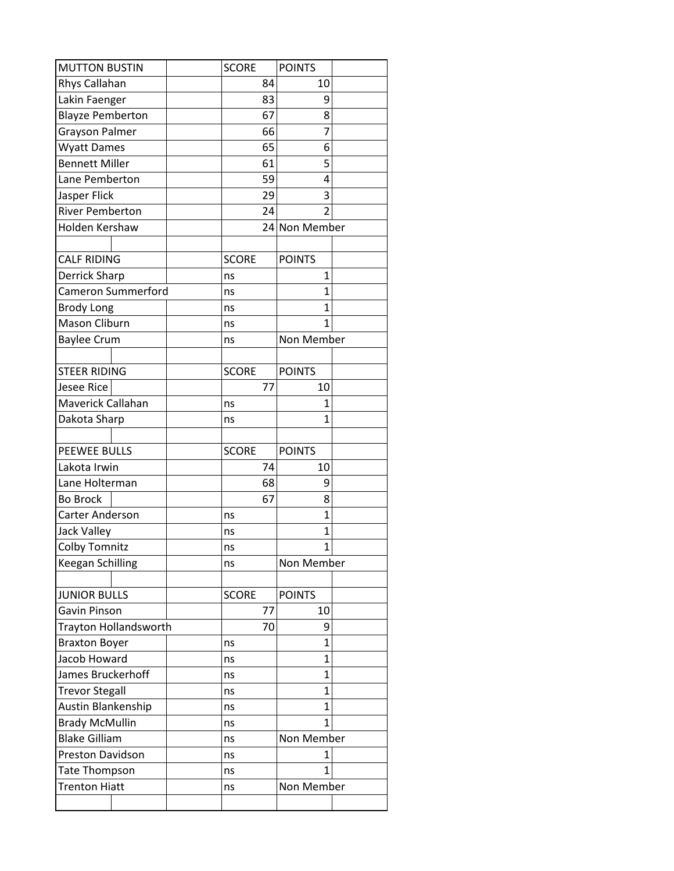| <b>MUTTON BUSTIN</b>      | <b>SCORE</b> |    | <b>POINTS</b>  |  |
|---------------------------|--------------|----|----------------|--|
| Rhys Callahan             |              | 84 | 10             |  |
| Lakin Faenger             |              | 83 | 9              |  |
| <b>Blayze Pemberton</b>   |              | 67 | 8              |  |
| Grayson Palmer            |              | 66 | 7              |  |
| <b>Wyatt Dames</b>        |              | 65 | 6              |  |
| <b>Bennett Miller</b>     |              | 61 | 5              |  |
| Lane Pemberton            |              | 59 | 4              |  |
| Jasper Flick              |              | 29 | 3              |  |
| <b>River Pemberton</b>    |              | 24 | $\overline{2}$ |  |
| Holden Kershaw            |              |    | 24 Non Member  |  |
| <b>CALF RIDING</b>        | <b>SCORE</b> |    | <b>POINTS</b>  |  |
| Derrick Sharp             | ns           |    | 1              |  |
| <b>Cameron Summerford</b> | ns           |    | 1              |  |
| <b>Brody Long</b>         | ns           |    | $\mathbf{1}$   |  |
| Mason Cliburn             | ns           |    | 1              |  |
| <b>Baylee Crum</b>        | ns           |    | Non Member     |  |
|                           |              |    |                |  |
| <b>STEER RIDING</b>       | <b>SCORE</b> |    | <b>POINTS</b>  |  |
| <b>Jesee Rice</b>         |              | 77 | 10             |  |
| Maverick Callahan         | ns           |    | 1              |  |
| Dakota Sharp              | ns           |    | 1              |  |
|                           |              |    |                |  |
| <b>PEEWEE BULLS</b>       | <b>SCORE</b> |    | <b>POINTS</b>  |  |
| Lakota Irwin              |              | 74 | 10             |  |
| Lane Holterman            |              | 68 | 9              |  |
| <b>Bo Brock</b>           |              | 67 | 8              |  |
| <b>Carter Anderson</b>    | ns           |    | $\overline{1}$ |  |
| <b>Jack Valley</b>        | ns           |    | 1              |  |
| <b>Colby Tomnitz</b>      | ns           |    | $\overline{1}$ |  |
| <b>Keegan Schilling</b>   | ns           |    | Non Member     |  |
|                           |              |    |                |  |
| <b>JUNIOR BULLS</b>       | <b>SCORE</b> |    | <b>POINTS</b>  |  |
| Gavin Pinson              |              | 77 | 10             |  |
| Trayton Hollandsworth     |              | 70 | 9              |  |
| <b>Braxton Boyer</b>      | ns           |    | 1              |  |
| Jacob Howard              | ns           |    | $\overline{1}$ |  |
| James Bruckerhoff         | ns           |    | 1              |  |
| <b>Trevor Stegall</b>     | ns           |    | $\mathbf{1}$   |  |
| Austin Blankenship        | ns           |    | 1              |  |
| <b>Brady McMullin</b>     | ns           |    | 1              |  |
| <b>Blake Gilliam</b>      | ns           |    | Non Member     |  |
| Preston Davidson          | ns           |    | 1              |  |
| <b>Tate Thompson</b>      | ns           |    | 1              |  |
| <b>Trenton Hiatt</b>      | ns           |    | Non Member     |  |
|                           |              |    |                |  |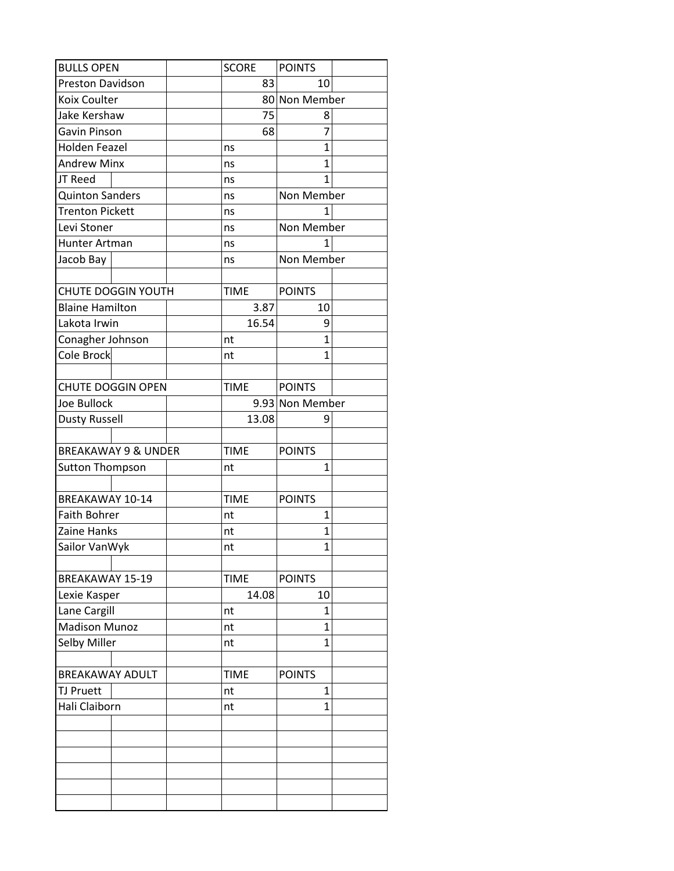| <b>BULLS OPEN</b>              | <b>SCORE</b> | <b>POINTS</b>   |  |
|--------------------------------|--------------|-----------------|--|
| <b>Preston Davidson</b>        | 83           | 10              |  |
| Koix Coulter                   |              | 80 Non Member   |  |
| Jake Kershaw                   | 75           | 8               |  |
| Gavin Pinson                   | 68           | 7               |  |
| Holden Feazel                  | ns           | 1               |  |
| <b>Andrew Minx</b>             | ns           | $\mathbf{1}$    |  |
| JT Reed                        | ns           | 1               |  |
| <b>Quinton Sanders</b>         | ns           | Non Member      |  |
| <b>Trenton Pickett</b>         | ns           |                 |  |
| Levi Stoner                    | ns           | Non Member      |  |
| Hunter Artman                  | ns           | 1               |  |
| Jacob Bay                      | ns           | Non Member      |  |
|                                |              |                 |  |
| <b>CHUTE DOGGIN YOUTH</b>      | <b>TIME</b>  | <b>POINTS</b>   |  |
| <b>Blaine Hamilton</b>         | 3.87         | 10              |  |
| Lakota Irwin                   | 16.54        | 9               |  |
| Conagher Johnson               | nt           | $\mathbf{1}$    |  |
| Cole Brock                     | nt           | $\mathbf{1}$    |  |
|                                |              |                 |  |
| <b>CHUTE DOGGIN OPEN</b>       | <b>TIME</b>  | <b>POINTS</b>   |  |
| Joe Bullock                    |              | 9.93 Non Member |  |
| <b>Dusty Russell</b>           | 13.08        | 9               |  |
|                                |              |                 |  |
|                                |              |                 |  |
| <b>BREAKAWAY 9 &amp; UNDER</b> | <b>TIME</b>  | <b>POINTS</b>   |  |
|                                | nt           | $\mathbf{1}$    |  |
| <b>Sutton Thompson</b>         |              |                 |  |
| <b>BREAKAWAY 10-14</b>         | <b>TIME</b>  | <b>POINTS</b>   |  |
| <b>Faith Bohrer</b>            | nt           | $\mathbf{1}$    |  |
| Zaine Hanks                    | nt           | 1               |  |
| Sailor VanWyk                  | nt           | $\mathbf{1}$    |  |
|                                |              |                 |  |
| <b>BREAKAWAY 15-19</b>         | <b>TIME</b>  | <b>POINTS</b>   |  |
| Lexie Kasper                   | 14.08        | 10              |  |
| Lane Cargill                   | nt           | $\mathbf{1}$    |  |
| <b>Madison Munoz</b>           | nt           | $\mathbf{1}$    |  |
| Selby Miller                   | nt           | 1               |  |
|                                |              |                 |  |
| <b>BREAKAWAY ADULT</b>         | <b>TIME</b>  | <b>POINTS</b>   |  |
| <b>TJ Pruett</b>               | nt           | 1               |  |
| Hali Claiborn                  | nt           | $\mathbf{1}$    |  |
|                                |              |                 |  |
|                                |              |                 |  |
|                                |              |                 |  |
|                                |              |                 |  |
|                                |              |                 |  |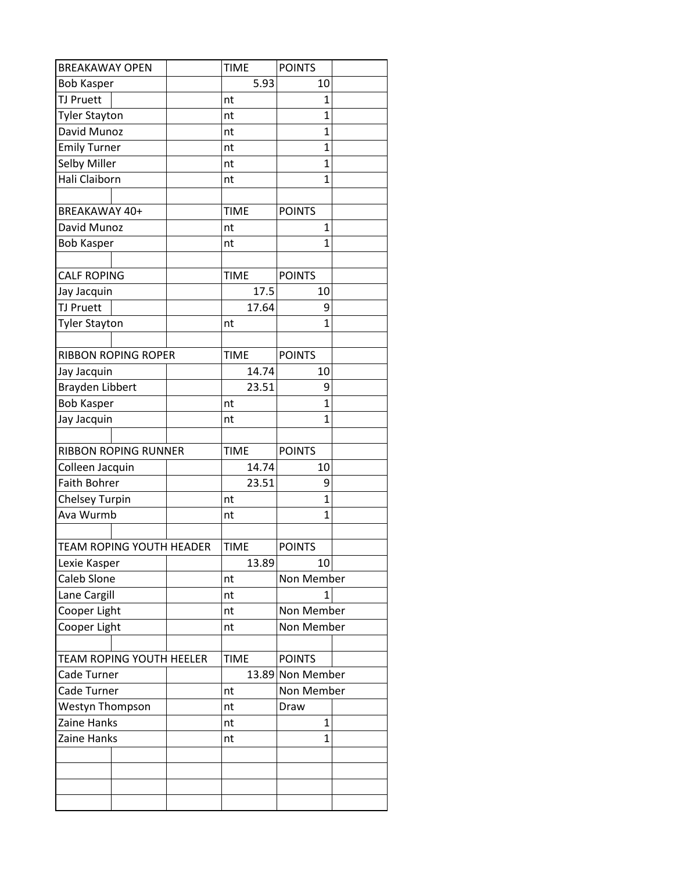| <b>BREAKAWAY OPEN</b>           | <b>TIME</b> | <b>POINTS</b>    |  |
|---------------------------------|-------------|------------------|--|
| <b>Bob Kasper</b>               | 5.93        | 10               |  |
| <b>TJ Pruett</b>                | nt          | 1                |  |
| <b>Tyler Stayton</b>            | nt          | $\overline{1}$   |  |
| David Munoz                     | nt          | $\overline{1}$   |  |
| <b>Emily Turner</b>             | nt          | 1                |  |
| Selby Miller                    | nt          | $\overline{1}$   |  |
| Hali Claiborn                   | nt          | 1                |  |
|                                 |             |                  |  |
| BREAKAWAY 40+                   | <b>TIME</b> | <b>POINTS</b>    |  |
| David Munoz                     | nt          | 1                |  |
| <b>Bob Kasper</b>               | nt          | 1                |  |
|                                 |             |                  |  |
| <b>CALF ROPING</b>              | <b>TIME</b> | <b>POINTS</b>    |  |
| Jay Jacquin                     | 17.5        | 10               |  |
| <b>TJ Pruett</b>                | 17.64       | 9                |  |
| <b>Tyler Stayton</b>            | nt          | $\overline{1}$   |  |
|                                 |             |                  |  |
| <b>RIBBON ROPING ROPER</b>      | <b>TIME</b> | <b>POINTS</b>    |  |
| Jay Jacquin                     | 14.74       | 10               |  |
| <b>Brayden Libbert</b>          | 23.51       | 9                |  |
| <b>Bob Kasper</b>               | nt          | $\overline{1}$   |  |
| Jay Jacquin                     | nt          | 1                |  |
|                                 |             |                  |  |
| <b>RIBBON ROPING RUNNER</b>     | <b>TIME</b> | <b>POINTS</b>    |  |
| Colleen Jacquin                 | 14.74       | 10               |  |
| <b>Faith Bohrer</b>             | 23.51       | 9                |  |
| <b>Chelsey Turpin</b>           | nt          | $\overline{1}$   |  |
| Ava Wurmb                       | nt          | 1                |  |
|                                 |             |                  |  |
| <b>TEAM ROPING YOUTH HEADER</b> | <b>TIME</b> | <b>POINTS</b>    |  |
| Lexie Kasper                    | 13.89       | 10               |  |
| Caleb Slone                     | nt          | Non Member       |  |
| Lane Cargill                    | nt          | 1                |  |
| Cooper Light                    | nt          | Non Member       |  |
| Cooper Light                    | nt          | Non Member       |  |
|                                 |             |                  |  |
| <b>TEAM ROPING YOUTH HEELER</b> | <b>TIME</b> | <b>POINTS</b>    |  |
| Cade Turner                     |             | 13.89 Non Member |  |
| Cade Turner                     | nt          | Non Member       |  |
| Westyn Thompson                 | nt          | Draw             |  |
| Zaine Hanks                     | nt          | $\mathbf{1}$     |  |
| Zaine Hanks                     | nt          | 1                |  |
|                                 |             |                  |  |
|                                 |             |                  |  |
|                                 |             |                  |  |
|                                 |             |                  |  |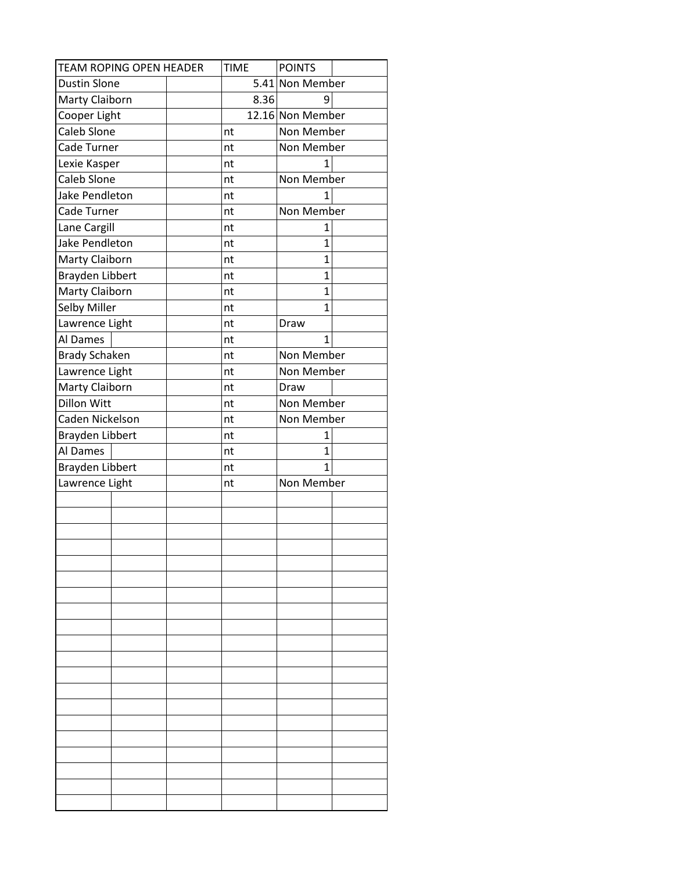| <b>TEAM ROPING OPEN HEADER</b> | <b>TIME</b> | <b>POINTS</b>    |
|--------------------------------|-------------|------------------|
| <b>Dustin Slone</b>            |             | 5.41 Non Member  |
| Marty Claiborn                 | 8.36        | 9                |
| Cooper Light                   |             | 12.16 Non Member |
| <b>Caleb Slone</b>             | nt          | Non Member       |
| Cade Turner                    | nt          | Non Member       |
| Lexie Kasper                   | nt          | 1                |
| <b>Caleb Slone</b>             | nt          | Non Member       |
| Jake Pendleton                 | nt          | 1                |
| Cade Turner                    | nt          | Non Member       |
| Lane Cargill                   | nt          | 1                |
| Jake Pendleton                 | nt          | $\overline{1}$   |
| Marty Claiborn                 | nt          | $\mathbf{1}$     |
| <b>Brayden Libbert</b>         | nt          | 1                |
| <b>Marty Claiborn</b>          | nt          | $\overline{1}$   |
| Selby Miller                   | nt          | 1                |
| Lawrence Light                 | nt          | Draw             |
| Al Dames                       | nt          | $\mathbf{1}$     |
| <b>Brady Schaken</b>           | nt          | Non Member       |
| Lawrence Light                 | nt          | Non Member       |
| Marty Claiborn                 | nt          | Draw             |
| <b>Dillon Witt</b>             | nt          | Non Member       |
| Caden Nickelson                | nt          | Non Member       |
| Brayden Libbert                | nt          | 1                |
| Al Dames                       | nt          | $\mathbf{1}$     |
| <b>Brayden Libbert</b>         | nt          | 1                |
| Lawrence Light                 | nt          | Non Member       |
|                                |             |                  |
|                                |             |                  |
|                                |             |                  |
|                                |             |                  |
|                                |             |                  |
|                                |             |                  |
|                                |             |                  |
|                                |             |                  |
|                                |             |                  |
|                                |             |                  |
|                                |             |                  |
|                                |             |                  |
|                                |             |                  |
|                                |             |                  |
|                                |             |                  |
|                                |             |                  |
|                                |             |                  |
|                                |             |                  |
|                                |             |                  |
|                                |             |                  |